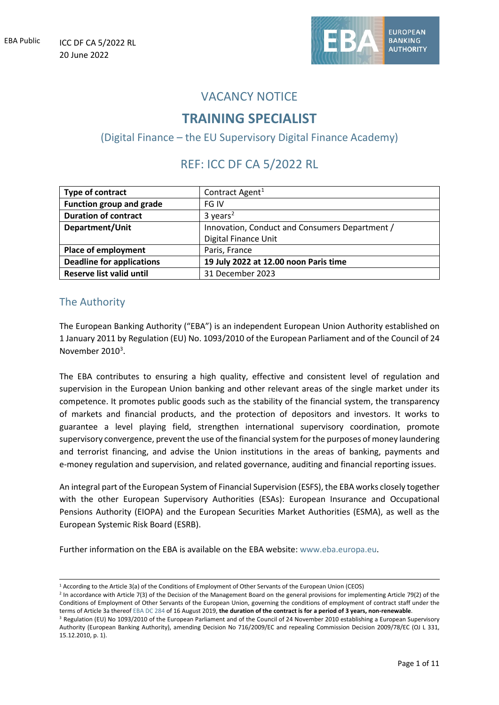

## VACANCY NOTICE

# **TRAINING SPECIALIST**

(Digital Finance – the EU Supervisory Digital Finance Academy)

# REF: ICC DF CA 5/2022 RL

| Type of contract                 | Contract Agent <sup>1</sup>                    |
|----------------------------------|------------------------------------------------|
| Function group and grade         | FG IV                                          |
| <b>Duration of contract</b>      | $3 \text{ years}^2$                            |
| Department/Unit                  | Innovation, Conduct and Consumers Department / |
|                                  | Digital Finance Unit                           |
| Place of employment              | Paris, France                                  |
| <b>Deadline for applications</b> | 19 July 2022 at 12.00 noon Paris time          |
| <b>Reserve list valid until</b>  | 31 December 2023                               |

## The Authority

The European Banking Authority ("EBA") is an independent European Union Authority established on 1 January 2011 by Regulation (EU) No. 1093/2010 of the European Parliament and of the Council of 24 November 2010<sup>[3](#page-0-2)</sup>.

The EBA contributes to ensuring a high quality, effective and consistent level of regulation and supervision in the European Union banking and other relevant areas of the single market under its competence. It promotes public goods such as the stability of the financial system, the transparency of markets and financial products, and the protection of depositors and investors. It works to guarantee a level playing field, strengthen international supervisory coordination, promote supervisory convergence, prevent the use of the financial system forthe purposes of money laundering and terrorist financing, and advise the Union institutions in the areas of banking, payments and e-money regulation and supervision, and related governance, auditing and financial reporting issues.

An integral part of the European System of Financial Supervision (ESFS), the EBA works closely together with the other European Supervisory Authorities (ESAs): European Insurance and Occupational Pensions Authority (EIOPA) and the European Securities Market Authorities (ESMA), as well as the European Systemic Risk Board (ESRB).

Further information on the EBA is available on the EBA website: [www.eba.europa.eu.](http://www.eba.europa.eu/)

<sup>1</sup> According to the Article 3(a) of the Conditions of Employment of Other Servants of the European Union (CEOS)

<span id="page-0-1"></span><span id="page-0-0"></span> $<sup>2</sup>$  In accordance with Article 7(3) of the Decision of the Management Board on the general provisions for implementing Article 79(2) of the</sup> [Conditions of Employment of Other Servants of the European Union, governing the conditions of employment of contract staff under the](https://intranet.eba.europa.eu/StaffMatters/EBA%20implementing%20rules/Contract%20agents%203a%20(EBA%20DC%20284)%20-%20Engagement%20and%20selection,%20classification%20in%20grade,%20contracts.pdf)  [terms of Article 3a](https://intranet.eba.europa.eu/StaffMatters/EBA%20implementing%20rules/Contract%20agents%203a%20(EBA%20DC%20284)%20-%20Engagement%20and%20selection,%20classification%20in%20grade,%20contracts.pdf) thereof [EBA DC 284](https://www.eba.europa.eu/sites/default/documents/files/document_library/EBA%20DC%20284_Contract%20agents%203a_signed.pdf) of 16 August 2019, **the duration of the contract is for a period of 3 years, non-renewable**.

<span id="page-0-2"></span><sup>&</sup>lt;sup>3</sup> Regulation (EU) No 1093/2010 of the European Parliament and of the Council of 24 November 2010 establishing a European Supervisory Authority (European Banking Authority), amending Decision No 716/2009/EC and repealing Commission Decision 2009/78/EC (OJ L 331, 15.12.2010, p. 1).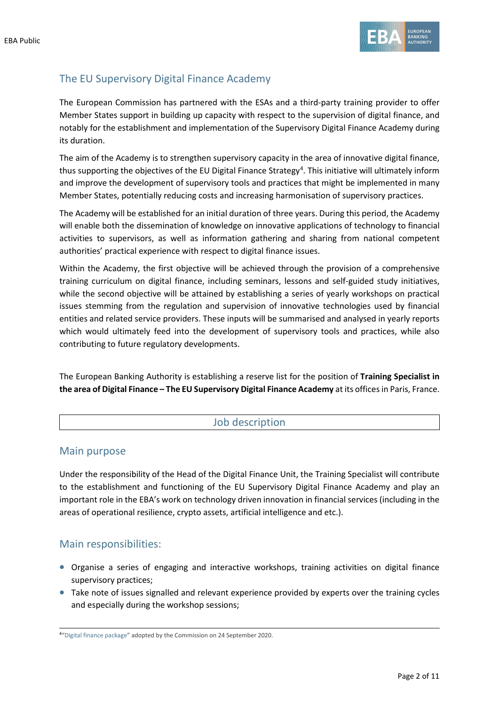

## The EU Supervisory Digital Finance Academy

The European Commission has partnered with the ESAs and a third-party training provider to offer Member States support in building up capacity with respect to the supervision of digital finance, and notably for the establishment and implementation of the Supervisory Digital Finance Academy during its duration.

The aim of the Academy is to strengthen supervisory capacity in the area of innovative digital finance, thus supporting the objectives of the EU Digital Finance Strategy<sup>[4](#page-1-0)</sup>. This initiative will ultimately inform and improve the development of supervisory tools and practices that might be implemented in many Member States, potentially reducing costs and increasing harmonisation of supervisory practices.

The Academy will be established for an initial duration of three years. During this period, the Academy will enable both the dissemination of knowledge on innovative applications of technology to financial activities to supervisors, as well as information gathering and sharing from national competent authorities' practical experience with respect to digital finance issues.

Within the Academy, the first objective will be achieved through the provision of a comprehensive training curriculum on digital finance, including seminars, lessons and self-guided study initiatives, while the second objective will be attained by establishing a series of yearly workshops on practical issues stemming from the regulation and supervision of innovative technologies used by financial entities and related service providers. These inputs will be summarised and analysed in yearly reports which would ultimately feed into the development of supervisory tools and practices, while also contributing to future regulatory developments.

The European Banking Authority is establishing a reserve list for the position of **Training Specialist in the area of Digital Finance – The EU Supervisory Digital Finance Academy** at its offices in Paris, France.

## Job description

## Main purpose

Under the responsibility of the Head of the Digital Finance Unit, the Training Specialist will contribute to the establishment and functioning of the EU Supervisory Digital Finance Academy and play an important role in the EBA's work on technology driven innovation in financial services (including in the areas of operational resilience, crypto assets, artificial intelligence and etc.).

## Main responsibilities:

- Organise a series of engaging and interactive workshops, training activities on digital finance supervisory practices;
- Take note of issues signalled and relevant experience provided by experts over the training cycles and especially during the workshop sessions;

<span id="page-1-0"></span><sup>&</sup>lt;sup>4</sup>["Digital finance package"](https://ec.europa.eu/info/publications/200924-digital-finance-proposals_en) adopted by the Commission on 24 September 2020.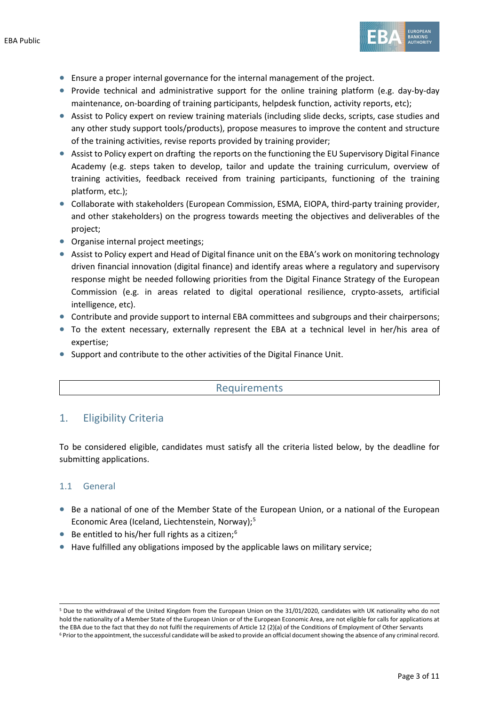

- Ensure a proper internal governance for the internal management of the project.
- Provide technical and administrative support for the online training platform (e.g. day-by-day maintenance, on-boarding of training participants, helpdesk function, activity reports, etc);
- Assist to Policy expert on review training materials (including slide decks, scripts, case studies and any other study support tools/products), propose measures to improve the content and structure of the training activities, revise reports provided by training provider;
- Assist to Policy expert on drafting the reports on the functioning the EU Supervisory Digital Finance Academy (e.g. steps taken to develop, tailor and update the training curriculum, overview of training activities, feedback received from training participants, functioning of the training platform, etc.);
- Collaborate with stakeholders (European Commission, ESMA, EIOPA, third-party training provider, and other stakeholders) on the progress towards meeting the objectives and deliverables of the project;
- Organise internal project meetings;
- Assist to Policy expert and Head of Digital finance unit on the EBA's work on monitoring technology driven financial innovation (digital finance) and identify areas where a regulatory and supervisory response might be needed following priorities from the Digital Finance Strategy of the European Commission (e.g. in areas related to digital operational resilience, crypto-assets, artificial intelligence, etc).
- Contribute and provide support to internal EBA committees and subgroups and their chairpersons;
- To the extent necessary, externally represent the EBA at a technical level in her/his area of expertise;
- Support and contribute to the other activities of the Digital Finance Unit.

### Requirements

## 1. Eligibility Criteria

To be considered eligible, candidates must satisfy all the criteria listed below, by the deadline for submitting applications.

### 1.1 General

- Be a national of one of the Member State of the European Union, or a national of the European Economic Area (Iceland, Liechtenstein, Norway); [5](#page-2-0)
- $\bullet$  Be entitled to his/her full rights as a citizen;<sup>[6](#page-2-1)</sup>
- Have fulfilled any obligations imposed by the applicable laws on military service;

<span id="page-2-1"></span><span id="page-2-0"></span><sup>5</sup> Due to the withdrawal of the United Kingdom from the European Union on the 31/01/2020, candidates with UK nationality who do not hold the nationality of a Member State of the European Union or of the European Economic Area, are not eligible for calls for applications at the EBA due to the fact that they do not fulfil the requirements of Article 12 (2)(a) of the Conditions of Employment of Other Servants <sup>6</sup> Prior to the appointment, the successful candidate will be asked to provide an official document showing the absence of any criminal record.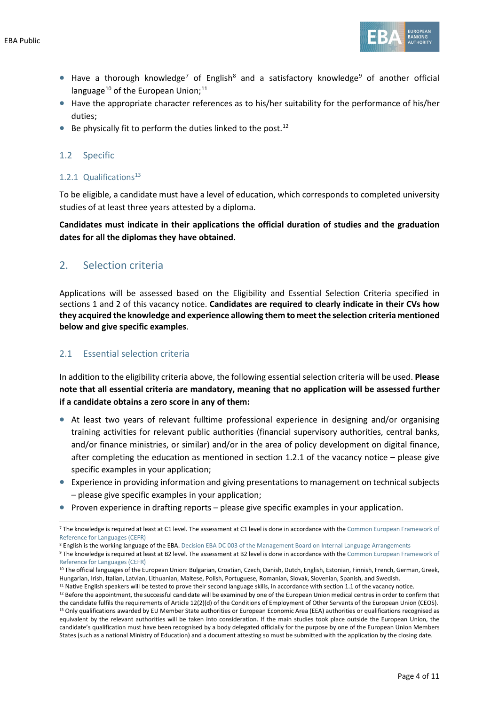

- Have a thorough knowledge<sup>[7](#page-3-0)</sup> of English<sup>[8](#page-3-1)</sup> and a satisfactory knowledge<sup>[9](#page-3-2)</sup> of another official language<sup>[10](#page-3-3)</sup> of the European Union;<sup>11</sup>
- Have the appropriate character references as to his/her suitability for the performance of his/her duties;
- $\bullet$  Be physically fit to perform the duties linked to the post.<sup>[12](#page-3-5)</sup>

#### 1.2 Specific

#### 1.2.1 Qualifications $^{13}$  $^{13}$  $^{13}$

To be eligible, a candidate must have a level of education, which corresponds to completed university studies of at least three years attested by a diploma.

**Candidates must indicate in their applications the official duration of studies and the graduation dates for all the diplomas they have obtained.**

### 2. Selection criteria

Applications will be assessed based on the Eligibility and Essential Selection Criteria specified in sections 1 and 2 of this vacancy notice. **Candidates are required to clearly indicate in their CVs how they acquired the knowledge and experience allowing them to meet the selection criteria mentioned below and give specific examples**.

#### 2.1 Essential selection criteria

In addition to the eligibility criteria above, the following essential selection criteria will be used. **Please note that all essential criteria are mandatory, meaning that no application will be assessed further if a candidate obtains a zero score in any of them:** 

- At least two years of relevant fulltime professional experience in designing and/or organising training activities for relevant public authorities (financial supervisory authorities, central banks, and/or finance ministries, or similar) and/or in the area of policy development on digital finance, after completing the education as mentioned in section 1.2.1 of the vacancy notice – please give specific examples in your application;
- Experience in providing information and giving presentations to management on technical subjects – please give specific examples in your application;
- Proven experience in drafting reports please give specific examples in your application.

<span id="page-3-1"></span><sup>8</sup> English is the working language of the EBA[. Decision EBA DC 003 of the Management Board on Internal Language Arrangements](https://www.eba.europa.eu/sites/default/documents/files/documents/10180/16082/a4e572a4-f91c-46ce-8814-c2f2c3396922/EBA-DC-003--_Language-Arrangements_---FINAL.pdf)

<span id="page-3-0"></span><sup>7</sup> The knowledge is required at least at C1 level. The assessment at C1 level is done in accordance with the Common European Framework of [Reference for Languages \(CEFR\)](https://europa.eu/europass/en/common-european-framework-reference)

<span id="page-3-2"></span><sup>9</sup> The knowledge is required at least at B2 level. The assessment at B2 level is done in accordance with the Common European Framework of [Reference for Languages \(CEFR\)](https://europa.eu/europass/en/common-european-framework-reference)

<span id="page-3-3"></span><sup>10</sup> The official languages of the European Union: Bulgarian, Croatian, Czech, Danish, Dutch, English, Estonian, Finnish, French, German, Greek, Hungarian, Irish, Italian, Latvian, Lithuanian, Maltese, Polish, Portuguese, Romanian, Slovak, Slovenian, Spanish, and Swedish.

<span id="page-3-4"></span><sup>&</sup>lt;sup>11</sup> Native English speakers will be tested to prove their second language skills, in accordance with section 1.1 of the vacancy notice.

<span id="page-3-6"></span><span id="page-3-5"></span> $12$  Before the appointment, the successful candidate will be examined by one of the European Union medical centres in order to confirm that the candidate fulfils the requirements of Article 12(2)(d) of the Conditions of Employment of Other Servants of the European Union (CEOS).<br><sup>13</sup> Only qualifications awarded by EU Member State authorities or European Economi equivalent by the relevant authorities will be taken into consideration. If the main studies took place outside the European Union, the candidate's qualification must have been recognised by a body delegated officially for the purpose by one of the European Union Members States (such as a national Ministry of Education) and a document attesting so must be submitted with the application by the closing date.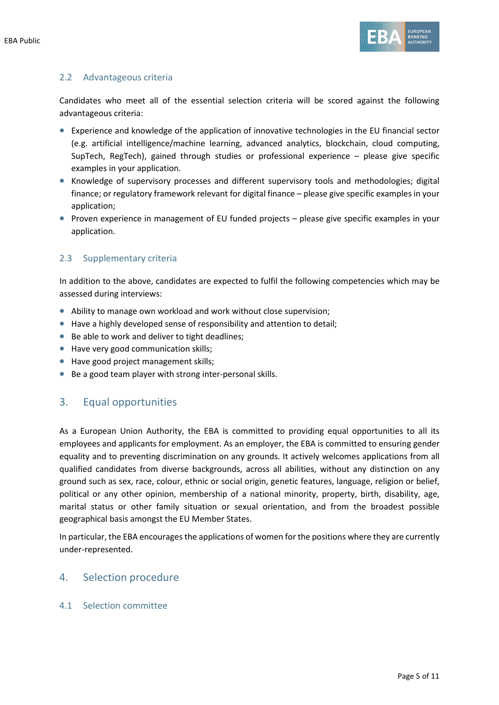

#### 2.2 Advantageous criteria

Candidates who meet all of the essential selection criteria will be scored against the following advantageous criteria:

- Experience and knowledge of the application of innovative technologies in the EU financial sector (e.g. artificial intelligence/machine learning, advanced analytics, blockchain, cloud computing, SupTech, RegTech), gained through studies or professional experience – please give specific examples in your application.
- Knowledge of supervisory processes and different supervisory tools and methodologies; digital finance; or regulatory framework relevant for digital finance – please give specific examples in your application;
- Proven experience in management of EU funded projects please give specific examples in your application.

#### 2.3 Supplementary criteria

In addition to the above, candidates are expected to fulfil the following competencies which may be assessed during interviews:

- Ability to manage own workload and work without close supervision;
- Have a highly developed sense of responsibility and attention to detail;
- Be able to work and deliver to tight deadlines;
- Have very good communication skills;
- Have good project management skills;
- Be a good team player with strong inter-personal skills.

## 3. Equal opportunities

As a European Union Authority, the EBA is committed to providing equal opportunities to all its employees and applicants for employment. As an employer, the EBA is committed to ensuring gender equality and to preventing discrimination on any grounds. It actively welcomes applications from all qualified candidates from diverse backgrounds, across all abilities, without any distinction on any ground such as sex, race, colour, ethnic or social origin, genetic features, language, religion or belief, political or any other opinion, membership of a national minority, property, birth, disability, age, marital status or other family situation or sexual orientation, and from the broadest possible geographical basis amongst the EU Member States.

In particular, the EBA encourages the applications of women for the positions where they are currently under-represented.

### 4. Selection procedure

#### 4.1 Selection committee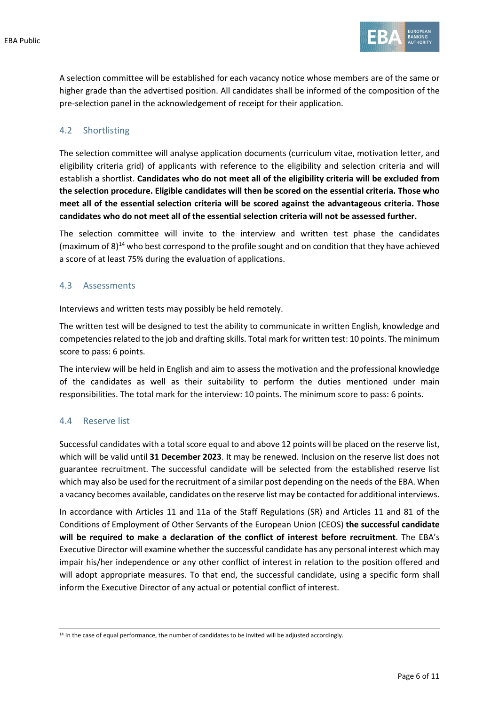

A selection committee will be established for each vacancy notice whose members are of the same or higher grade than the advertised position. All candidates shall be informed of the composition of the pre-selection panel in the acknowledgement of receipt for their application.

#### 4.2 Shortlisting

The selection committee will analyse application documents (curriculum vitae, motivation letter, and eligibility criteria grid) of applicants with reference to the eligibility and selection criteria and will establish a shortlist. **Candidates who do not meet all of the eligibility criteria will be excluded from the selection procedure. Eligible candidates will then be scored on the essential criteria. Those who meet all of the essential selection criteria will be scored against the advantageous criteria. Those candidates who do not meet all of the essential selection criteria will not be assessed further.**

The selection committee will invite to the interview and written test phase the candidates (maximum of 8) [14](#page-5-0) who best correspond to the profile sought and on condition that they have achieved a score of at least 75% during the evaluation of applications.

#### 4.3 Assessments

Interviews and written tests may possibly be held remotely.

The written test will be designed to test the ability to communicate in written English, knowledge and competencies related to the job and drafting skills. Total mark for written test: 10 points. The minimum score to pass: 6 points.

The interview will be held in English and aim to assess the motivation and the professional knowledge of the candidates as well as their suitability to perform the duties mentioned under main responsibilities. The total mark for the interview: 10 points. The minimum score to pass: 6 points.

#### 4.4 Reserve list

Successful candidates with a total score equal to and above 12 points will be placed on the reserve list, which will be valid until **31 December 2023**. It may be renewed. Inclusion on the reserve list does not guarantee recruitment. The successful candidate will be selected from the established reserve list which may also be used for the recruitment of a similar post depending on the needs of the EBA. When a vacancy becomes available, candidates on the reserve list may be contacted for additional interviews.

In accordance with Articles 11 and 11a of the Staff Regulations (SR) and Articles 11 and 81 of the Conditions of Employment of Other Servants of the European Union (CEOS) **the successful candidate will be required to make a declaration of the conflict of interest before recruitment**. The EBA's Executive Director will examine whether the successful candidate has any personal interest which may impair his/her independence or any other conflict of interest in relation to the position offered and will adopt appropriate measures. To that end, the successful candidate, using a specific form shall inform the Executive Director of any actual or potential conflict of interest.

<span id="page-5-0"></span><sup>&</sup>lt;sup>14</sup> In the case of equal performance, the number of candidates to be invited will be adjusted accordingly.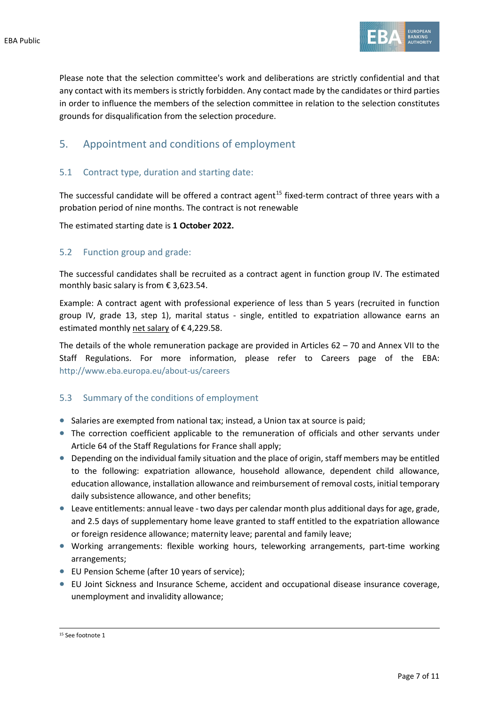

Please note that the selection committee's work and deliberations are strictly confidential and that any contact with its members is strictly forbidden. Any contact made by the candidates or third parties in order to influence the members of the selection committee in relation to the selection constitutes grounds for disqualification from the selection procedure.

## 5. Appointment and conditions of employment

#### 5.1 Contract type, duration and starting date:

The successful candidate will be offered a contract agent<sup>[15](#page-6-0)</sup> fixed-term contract of three years with a probation period of nine months. The contract is not renewable

The estimated starting date is **1 October 2022.**

#### 5.2 Function group and grade:

The successful candidates shall be recruited as a contract agent in function group IV. The estimated monthly basic salary is from € 3,623.54.

Example: A contract agent with professional experience of less than 5 years (recruited in function group IV, grade 13, step 1), marital status - single, entitled to expatriation allowance earns an estimated monthly net salary of € 4,229.58.

The details of the whole remuneration package are provided in Articles 62 – 70 and Annex VII to the Staff Regulations. For more information, please refer to Careers page of the EBA: <http://www.eba.europa.eu/about-us/careers>

#### 5.3 Summary of the conditions of employment

- Salaries are exempted from national tax; instead, a Union tax at source is paid;
- The correction coefficient applicable to the remuneration of officials and other servants under Article 64 of the Staff Regulations for France shall apply;
- Depending on the individual family situation and the place of origin, staff members may be entitled to the following: expatriation allowance, household allowance, dependent child allowance, education allowance, installation allowance and reimbursement of removal costs, initial temporary daily subsistence allowance, and other benefits;
- Leave entitlements: annual leave two days per calendar month plus additional days for age, grade, and 2.5 days of supplementary home leave granted to staff entitled to the expatriation allowance or foreign residence allowance; maternity leave; parental and family leave;
- Working arrangements: flexible working hours, teleworking arrangements, part-time working arrangements;
- EU Pension Scheme (after 10 years of service);
- EU Joint Sickness and Insurance Scheme, accident and occupational disease insurance coverage, unemployment and invalidity allowance;

<span id="page-6-0"></span><sup>15</sup> See footnote 1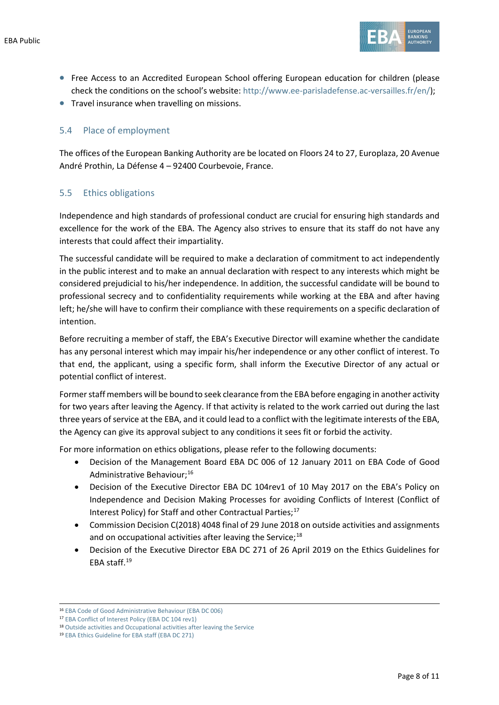

- Free Access to an Accredited European School offering European education for children (please check the conditions on the school's website: [http://www.ee-parisladefense.ac-versailles.fr/en/\)](http://www.ee-parisladefense.ac-versailles.fr/en/);
- Travel insurance when travelling on missions.

#### 5.4 Place of employment

The offices of the European Banking Authority are be located on Floors 24 to 27, Europlaza, 20 Avenue André Prothin, La Défense 4 – 92400 Courbevoie, France.

#### 5.5 Ethics obligations

Independence and high standards of professional conduct are crucial for ensuring high standards and excellence for the work of the EBA. The Agency also strives to ensure that its staff do not have any interests that could affect their impartiality.

The successful candidate will be required to make a declaration of commitment to act independently in the public interest and to make an annual declaration with respect to any interests which might be considered prejudicial to his/her independence. In addition, the successful candidate will be bound to professional secrecy and to confidentiality requirements while working at the EBA and after having left; he/she will have to confirm their compliance with these requirements on a specific declaration of intention.

Before recruiting a member of staff, the EBA's Executive Director will examine whether the candidate has any personal interest which may impair his/her independence or any other conflict of interest. To that end, the applicant, using a specific form, shall inform the Executive Director of any actual or potential conflict of interest.

Former staff members will be bound to seek clearance from the EBA before engaging in another activity for two years after leaving the Agency. If that activity is related to the work carried out during the last three years of service at the EBA, and it could lead to a conflict with the legitimate interests of the EBA, the Agency can give its approval subject to any conditions it sees fit or forbid the activity.

For more information on ethics obligations, please refer to the following documents:

- Decision of the Management Board EBA DC 006 of 12 January 2011 on EBA Code of Good Administrative Behaviour;[16](#page-7-0)
- Decision of the Executive Director EBA DC 104rev1 of 10 May 2017 on the EBA's Policy on Independence and Decision Making Processes for avoiding Conflicts of Interest (Conflict of Interest Policy) for Staff and other Contractual Parties;<sup>[17](#page-7-1)</sup>
- Commission Decision C(2018) 4048 final of 29 June 2018 on outside activities and assignments and on occupational activities after leaving the Service; $^{18}$  $^{18}$  $^{18}$
- Decision of the Executive Director EBA DC 271 of 26 April 2019 on the Ethics Guidelines for EBA staff.<sup>19</sup>

<span id="page-7-0"></span><sup>16</sup> [EBA Code of Good Administrative Behaviour \(EBA DC 006\)](https://eba.europa.eu/sites/default/documents/files/documents/10180/16082/435054e4-0d54-42cf-ad98-57f87bfb2426/EBA-DC-006-_Code-of-Administrative-Behaviour_---FINAL.pdf)

<span id="page-7-1"></span><sup>17</sup> [EBA Conflict of Interest Policy \(EBA DC 104 rev1\)](https://eba.europa.eu/sites/default/documents/files/document_library/EBA%20DC%20104rev1%20%28CoI%20Policy%20for%20Staff%20and%20Other%20Contractual%20Parties%29_final_0.pdf)

<span id="page-7-2"></span><sup>&</sup>lt;sup>18</sup> [Outside activities and Occupational activities after leaving the Service](https://eba.europa.eu/sites/default/documents/files/document_library/897086/decision_n182_commission_decision_on_outside_activities_en.pdf)

<span id="page-7-3"></span><sup>19</sup> [EBA Ethics Guideline for EBA staff \(EBA DC 271\)](https://eba.europa.eu/sites/default/documents/files/document_library/EBA%20DC%20271%20%28Decision%20on%20the%20Revised%20Ethics%20Guidelines%20for%20Staff%29.pdf)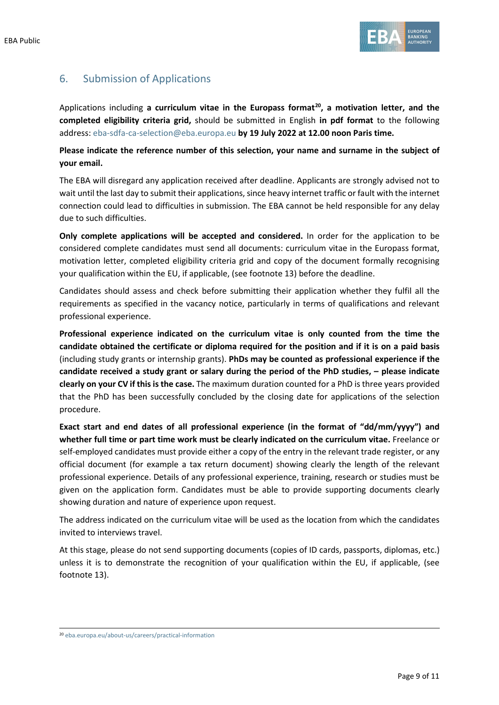

## 6. Submission of Applications

Applications including **a curriculum vitae in the Europass format[20](#page-8-0), a motivation letter, and the completed eligibility criteria grid,** should be submitted in English **in pdf format** to the following address: [eba-sdfa-ca-selection@eba.europa.eu](mailto:eba-sdfa-ca-selection@eba.europa.eu) **by 19 July 2022 at 12.00 noon Paris time.**

**Please indicate the reference number of this selection, your name and surname in the subject of your email.**

The EBA will disregard any application received after deadline. Applicants are strongly advised not to wait until the last day to submit their applications, since heavy internet traffic or fault with the internet connection could lead to difficulties in submission. The EBA cannot be held responsible for any delay due to such difficulties.

**Only complete applications will be accepted and considered.** In order for the application to be considered complete candidates must send all documents: curriculum vitae in the Europass format, motivation letter, completed eligibility criteria grid and copy of the document formally recognising your qualification within the EU, if applicable, (see footnote 13) before the deadline.

Candidates should assess and check before submitting their application whether they fulfil all the requirements as specified in the vacancy notice, particularly in terms of qualifications and relevant professional experience.

**Professional experience indicated on the curriculum vitae is only counted from the time the candidate obtained the certificate or diploma required for the position and if it is on a paid basis** (including study grants or internship grants). **PhDs may be counted as professional experience if the candidate received a study grant or salary during the period of the PhD studies, – please indicate clearly on your CV if this is the case.** The maximum duration counted for a PhD is three years provided that the PhD has been successfully concluded by the closing date for applications of the selection procedure.

**Exact start and end dates of all professional experience (in the format of "dd/mm/yyyy") and whether full time or part time work must be clearly indicated on the curriculum vitae.** Freelance or self-employed candidates must provide either a copy of the entry in the relevant trade register, or any official document (for example a tax return document) showing clearly the length of the relevant professional experience. Details of any professional experience, training, research or studies must be given on the application form. Candidates must be able to provide supporting documents clearly showing duration and nature of experience upon request.

The address indicated on the curriculum vitae will be used as the location from which the candidates invited to interviews travel.

At this stage, please do not send supporting documents (copies of ID cards, passports, diplomas, etc.) unless it is to demonstrate the recognition of your qualification within the EU, if applicable, (see footnote 13).

<span id="page-8-0"></span><sup>20</sup> [eba.europa.eu/about-us/careers/practical-information](https://www.eba.europa.eu/about-us/careers/practical-information)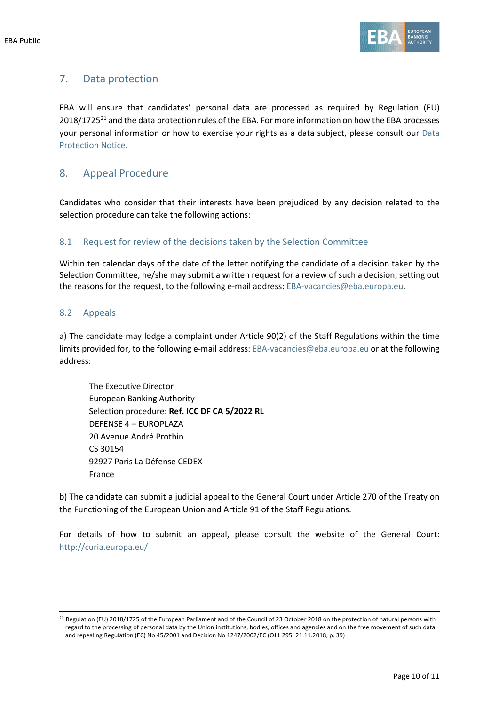

## 7. Data protection

EBA will ensure that candidates' personal data are processed as required by Regulation (EU)  $2018/1725<sup>21</sup>$  $2018/1725<sup>21</sup>$  $2018/1725<sup>21</sup>$  and the data protection rules of the EBA. For more information on how the EBA processes your personal information or how to exercise your rights as a data subject, please consult our [Data](https://www.eba.europa.eu/sites/default/documents/files/document_library/1001127/Data%20protection%20notice%20for%20Recruitment%20of%20TAs%20CAs%20SNEs.pdf)  [Protection Notice.](https://www.eba.europa.eu/sites/default/documents/files/document_library/1001127/Data%20protection%20notice%20for%20Recruitment%20of%20TAs%20CAs%20SNEs.pdf)

## 8. Appeal Procedure

Candidates who consider that their interests have been prejudiced by any decision related to the selection procedure can take the following actions:

### 8.1 Request for review of the decisions taken by the Selection Committee

Within ten calendar days of the date of the letter notifying the candidate of a decision taken by the Selection Committee, he/she may submit a written request for a review of such a decision, setting out the reasons for the request, to the following e-mail address: [EBA-vacancies@eba.europa.eu.](mailto:EBA-vacancies@eba.europa.eu)

#### 8.2 Appeals

a) The candidate may lodge a complaint under Article 90(2) of the Staff Regulations within the time limits provided for, to the following e-mail address: [EBA-vacancies@eba.europa.eu](mailto:EBA-vacancies@eba.europa.eu) or at the following address:

The Executive Director European Banking Authority Selection procedure: **Ref. ICC DF CA 5/2022 RL** DEFENSE 4 – EUROPLAZA 20 Avenue André Prothin CS 30154 92927 Paris La Défense CEDEX France

b) The candidate can submit a judicial appeal to the General Court under Article 270 of the Treaty on the Functioning of the European Union and Article 91 of the Staff Regulations.

For details of how to submit an appeal, please consult the website of the General Court: http://curia.europa.eu/

<span id="page-9-0"></span><sup>&</sup>lt;sup>21</sup> Regulation (EU) 2018/1725 of the European Parliament and of the Council of 23 October 2018 on the protection of natural persons with regard to the processing of personal data by the Union institutions, bodies, offices and agencies and on the free movement of such data, and repealing Regulation (EC) No 45/2001 and Decision No 1247/2002/EC (OJ L 295, 21.11.2018, p. 39)